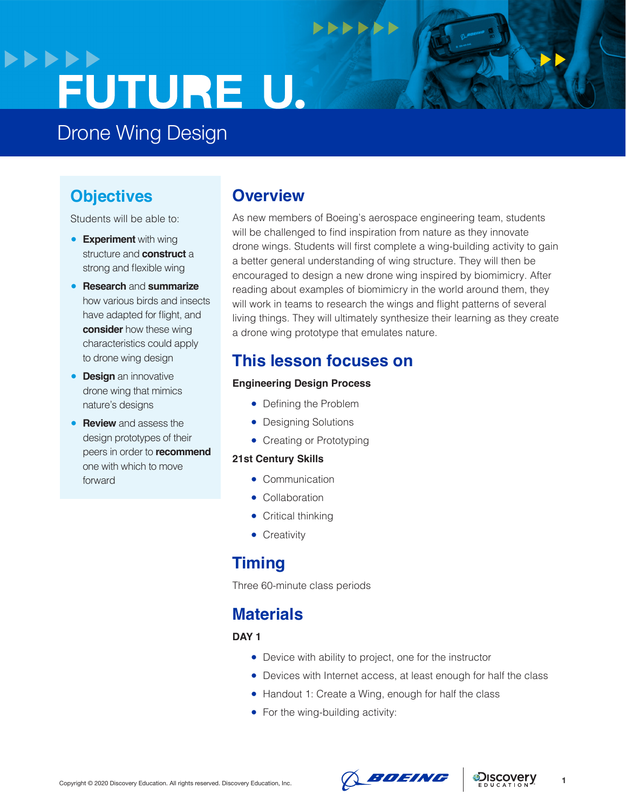# **>>>>>>** FUTURE U.

Drone Wing Design

# **Objectives**

Students will be able to:

- **Experiment** with wing structure and **construct** a strong and flexible wing
- **Research** and **summarize**  how various birds and insects have adapted for flight, and **consider** how these wing characteristics could apply to drone wing design
- **Design** an innovative drone wing that mimics nature's designs
- **Review** and assess the design prototypes of their peers in order to **recommend**  one with which to move forward

### **Overview**

As new members of Boeing's aerospace engineering team, students will be challenged to find inspiration from nature as they innovate drone wings. Students will first complete a wing-building activity to gain a better general understanding of wing structure. They will then be encouraged to design a new drone wing inspired by biomimicry. After reading about examples of biomimicry in the world around them, they will work in teams to research the wings and flight patterns of several living things. They will ultimately synthesize their learning as they create a drone wing prototype that emulates nature.

 $\rightarrow$ 

# **This lesson focuses on**

### **Engineering Design Process**

- Defining the Problem
- Designing Solutions
- Creating or Prototyping

### **21st Century Skills**

- Communication
- Collaboration
- Critical thinking
- Creativity

### **Timing**

Three 60-minute class periods

### **Materials**

**DAY 1**

- Device with ability to project, one for the instructor
- Devices with Internet access, at least enough for half the class
- Handout 1: Create a Wing, enough for half the class
- For the wing-building activity:



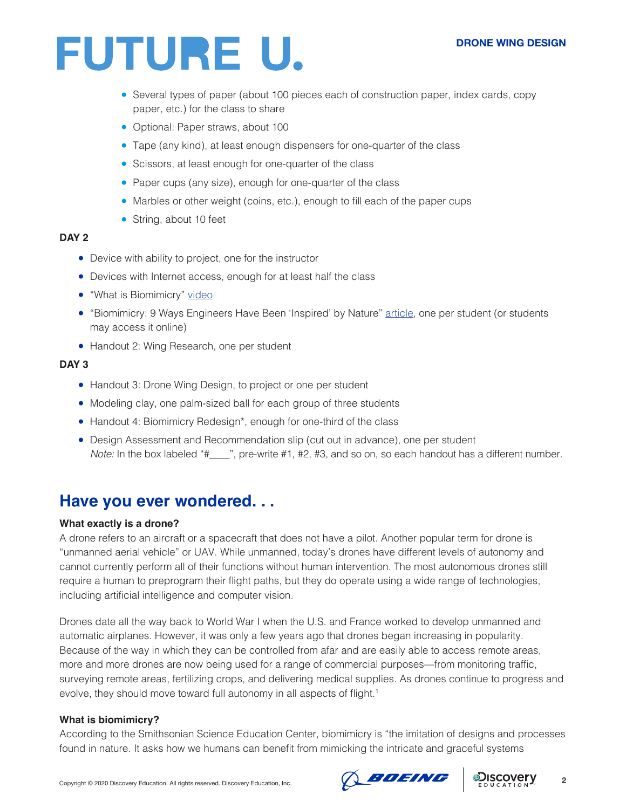- Several types of paper (about 100 pieces each of construction paper, index cards, copy paper, etc.) for the class to share
- Optional: Paper straws, about 100
- Tape (any kind), at least enough dispensers for one-quarter of the class
- Scissors, at least enough for one-quarter of the class
- Paper cups (any size), enough for one-quarter of the class
- Marbles or other weight (coins, etc.), enough to fill each of the paper cups
- String, about 10 feet

### **DAY 2**

- Device with ability to project, one for the instructor
- Devices with Internet access, enough for at least half the class
- "What is Biomimicry" [video](https://www.youtube.com/watch?time_continue=55&v=FBUpnG1G4yQ&feature=emb_logo)
- "Biomimicry: 9 Ways Engineers Have Been 'Inspired' by Nature" [article](https://interestingengineering.com/biomimicry-9-ways-engineers-have-been-inspired-by-nature), one per student (or students may access it online)
- Handout 2: Wing Research, one per student

### **DAY 3**

- Handout 3: Drone Wing Design, to project or one per student
- Modeling clay, one palm-sized ball for each group of three students
- Handout 4: Biomimicry Redesign\*, enough for one-third of the class
- Design Assessment and Recommendation slip (cut out in advance), one per student *Note:* In the box labeled "#\_\_\_\_", pre-write #1, #2, #3, and so on, so each handout has a different number.

### **Have you ever wondered. . .**

### **What exactly is a drone?**

A drone refers to an aircraft or a spacecraft that does not have a pilot. Another popular term for drone is "unmanned aerial vehicle" or UAV. While unmanned, today's drones have different levels of autonomy and cannot currently perform all of their functions without human intervention. The most autonomous drones still require a human to preprogram their flight paths, but they do operate using a wide range of technologies, including artificial intelligence and computer vision.

Drones date all the way back to World War I when the U.S. and France worked to develop unmanned and automatic airplanes. However, it was only a few years ago that drones began increasing in popularity. Because of the way in which they can be controlled from afar and are easily able to access remote areas, more and more drones are now being used for a range of commercial purposes—from monitoring traffic, surveying remote areas, fertilizing crops, and delivering medical supplies. As drones continue to progress and evolve, they should move toward full autonomy in all aspects of flight.<sup>1</sup>

### **What is biomimicry?**

According to the Smithsonian Science Education Center, biomimicry is "the imitation of designs and processes found in nature. It asks how we humans can benefit from mimicking the intricate and graceful systems



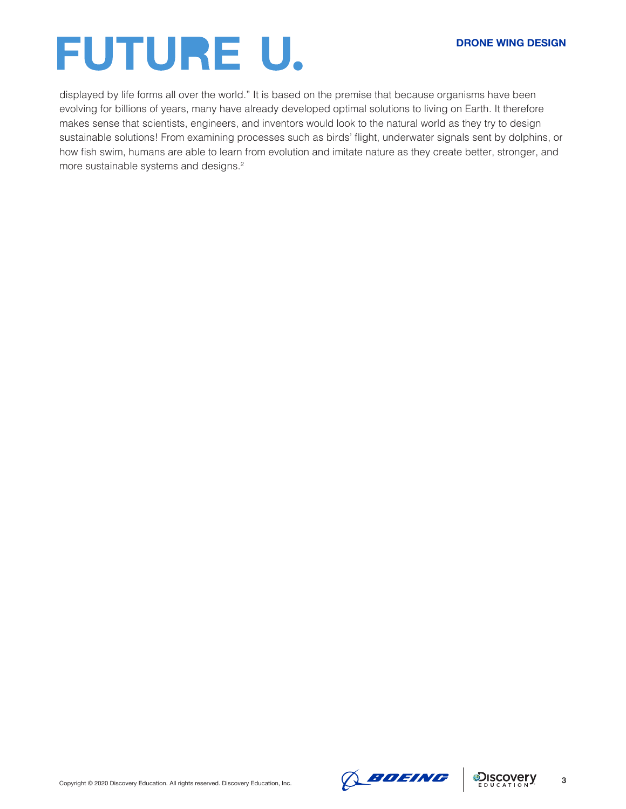displayed by life forms all over the world." It is based on the premise that because organisms have been evolving for billions of years, many have already developed optimal solutions to living on Earth. It therefore makes sense that scientists, engineers, and inventors would look to the natural world as they try to design sustainable solutions! From examining processes such as birds' flight, underwater signals sent by dolphins, or how fish swim, humans are able to learn from evolution and imitate nature as they create better, stronger, and more sustainable systems and designs.<sup>2</sup>



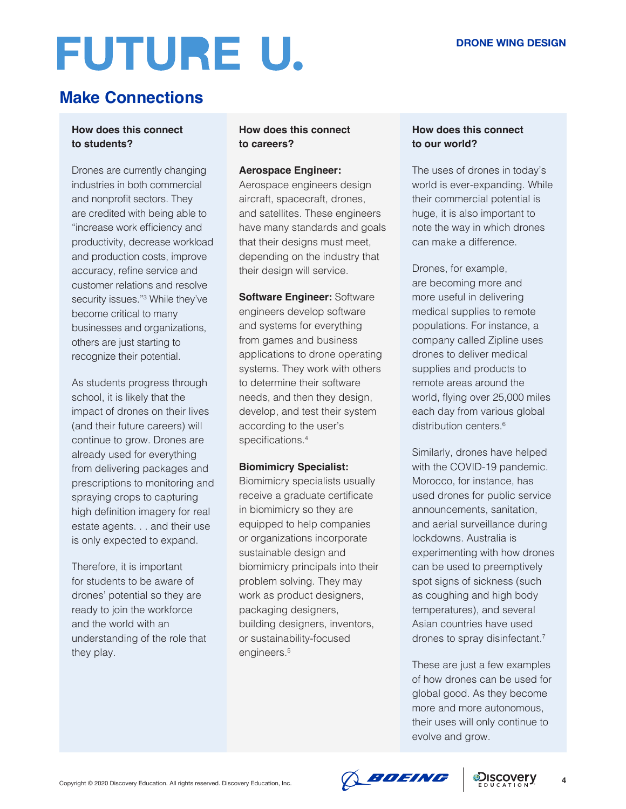# **Make Connections**

### **How does this connect to students?**

Drones are currently changing industries in both commercial and nonprofit sectors. They are credited with being able to "increase work efficiency and productivity, decrease workload and production costs, improve accuracy, refine service and customer relations and resolve security issues."<sup>3</sup> While they've become critical to many businesses and organizations, others are just starting to recognize their potential.

As students progress through school, it is likely that the impact of drones on their lives (and their future careers) will continue to grow. Drones are already used for everything from delivering packages and prescriptions to monitoring and spraying crops to capturing high definition imagery for real estate agents. . . and their use is only expected to expand.

Therefore, it is important for students to be aware of drones' potential so they are ready to join the workforce and the world with an understanding of the role that they play.

### **How does this connect to careers?**

### **Aerospace Engineer:**

Aerospace engineers design aircraft, spacecraft, drones, and satellites. These engineers have many standards and goals that their designs must meet, depending on the industry that their design will service.

**Software Engineer:** Software engineers develop software and systems for everything from games and business applications to drone operating systems. They work with others to determine their software needs, and then they design, develop, and test their system according to the user's specifications.<sup>4</sup>

### **Biomimicry Specialist:**

Biomimicry specialists usually receive a graduate certificate in biomimicry so they are equipped to help companies or organizations incorporate sustainable design and biomimicry principals into their problem solving. They may work as product designers, packaging designers, building designers, inventors, or sustainability-focused engineers.<sup>5</sup>

### **How does this connect to our world?**

The uses of drones in today's world is ever-expanding. While their commercial potential is huge, it is also important to note the way in which drones can make a difference.

Drones, for example, are becoming more and more useful in delivering medical supplies to remote populations. For instance, a company called Zipline uses drones to deliver medical supplies and products to remote areas around the world, flying over 25,000 miles each day from various global distribution centers.<sup>6</sup>

Similarly, drones have helped with the COVID-19 pandemic. Morocco, for instance, has used drones for public service announcements, sanitation, and aerial surveillance during lockdowns. Australia is experimenting with how drones can be used to preemptively spot signs of sickness (such as coughing and high body temperatures), and several Asian countries have used drones to spray disinfectant.<sup>7</sup>

These are just a few examples of how drones can be used for global good. As they become more and more autonomous, their uses will only continue to evolve and grow.

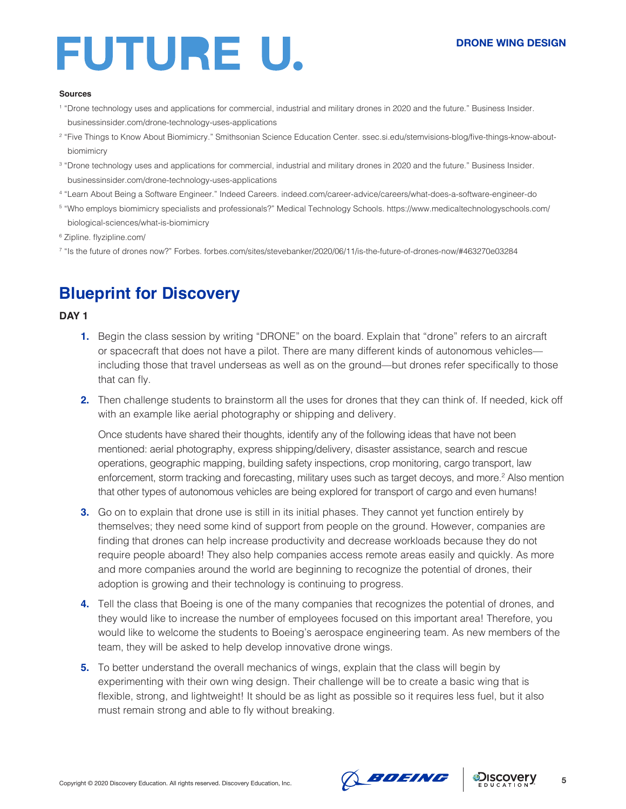#### **Sources**

- 1 "Drone technology uses and applications for commercial, industrial and military drones in 2020 and the future." Business Insider. businessinsider.com/drone-technology-uses-applications
- 2 "Five Things to Know About Biomimicry." Smithsonian Science Education Center. ssec.si.edu/stemvisions-blog/five-things-know-aboutbiomimicry
- 3 "Drone technology uses and applications for commercial, industrial and military drones in 2020 and the future." Business Insider. businessinsider.com/drone-technology-uses-applications
- 4 "Learn About Being a Software Engineer." Indeed Careers. indeed.com/career-advice/careers/what-does-a-software-engineer-do
- 5 "Who employs biomimicry specialists and professionals?" Medical Technology Schools. https://www.medicaltechnologyschools.com/ biological-sciences/what-is-biomimicry
- 6 Zipline. flyzipline.com/
- 7 "Is the future of drones now?" Forbes. forbes.com/sites/stevebanker/2020/06/11/is-the-future-of-drones-now/#463270e03284

# **Blueprint for Discovery**

### **DAY 1**

- **1.** Begin the class session by writing "DRONE" on the board. Explain that "drone" refers to an aircraft or spacecraft that does not have a pilot. There are many different kinds of autonomous vehicles including those that travel underseas as well as on the ground—but drones refer specifically to those that can fly.
- **2.** Then challenge students to brainstorm all the uses for drones that they can think of. If needed, kick off with an example like aerial photography or shipping and delivery.

Once students have shared their thoughts, identify any of the following ideas that have not been mentioned: aerial photography, express shipping/delivery, disaster assistance, search and rescue operations, geographic mapping, building safety inspections, crop monitoring, cargo transport, law enforcement, storm tracking and forecasting, military uses such as target decoys, and more.<sup>2</sup> Also mention that other types of autonomous vehicles are being explored for transport of cargo and even humans!

- **3.** Go on to explain that drone use is still in its initial phases. They cannot yet function entirely by themselves; they need some kind of support from people on the ground. However, companies are finding that drones can help increase productivity and decrease workloads because they do not require people aboard! They also help companies access remote areas easily and quickly. As more and more companies around the world are beginning to recognize the potential of drones, their adoption is growing and their technology is continuing to progress.
- **4.** Tell the class that Boeing is one of the many companies that recognizes the potential of drones, and they would like to increase the number of employees focused on this important area! Therefore, you would like to welcome the students to Boeing's aerospace engineering team. As new members of the team, they will be asked to help develop innovative drone wings.
- **5.** To better understand the overall mechanics of wings, explain that the class will begin by experimenting with their own wing design. Their challenge will be to create a basic wing that is flexible, strong, and lightweight! It should be as light as possible so it requires less fuel, but it also must remain strong and able to fly without breaking.



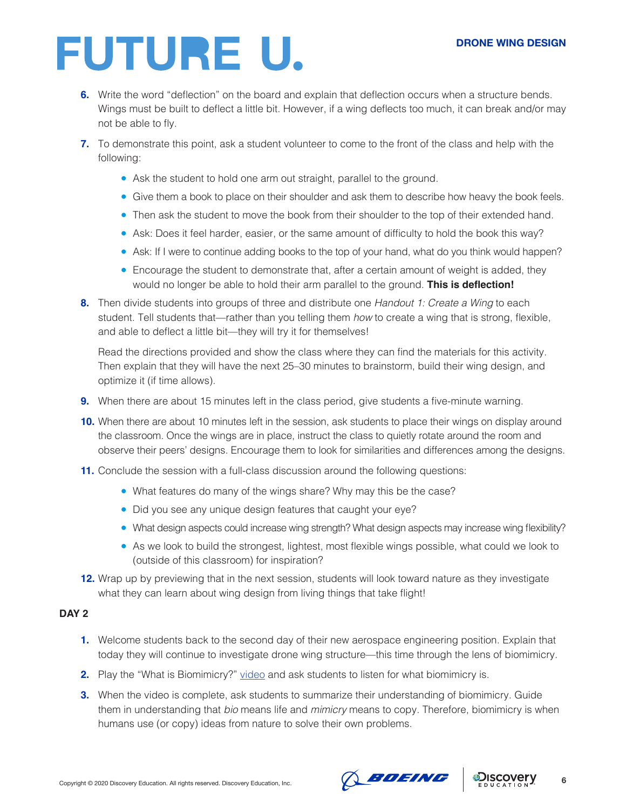### **DRONE WING DESIGN**

# FUTURE U.

- **6.** Write the word "deflection" on the board and explain that deflection occurs when a structure bends. Wings must be built to deflect a little bit. However, if a wing deflects too much, it can break and/or may not be able to fly.
- **7.** To demonstrate this point, ask a student volunteer to come to the front of the class and help with the following:
	- Ask the student to hold one arm out straight, parallel to the ground.
	- Give them a book to place on their shoulder and ask them to describe how heavy the book feels.
	- Then ask the student to move the book from their shoulder to the top of their extended hand.
	- Ask: Does it feel harder, easier, or the same amount of difficulty to hold the book this way?
	- Ask: If I were to continue adding books to the top of your hand, what do you think would happen?
	- Encourage the student to demonstrate that, after a certain amount of weight is added, they would no longer be able to hold their arm parallel to the ground. **This is deflection!**
- **8.** Then divide students into groups of three and distribute one *Handout 1: Create a Wing* to each student. Tell students that—rather than you telling them *how* to create a wing that is strong, flexible, and able to deflect a little bit—they will try it for themselves!

Read the directions provided and show the class where they can find the materials for this activity. Then explain that they will have the next 25–30 minutes to brainstorm, build their wing design, and optimize it (if time allows).

- **9.** When there are about 15 minutes left in the class period, give students a five-minute warning.
- **10.** When there are about 10 minutes left in the session, ask students to place their wings on display around the classroom. Once the wings are in place, instruct the class to quietly rotate around the room and observe their peers' designs. Encourage them to look for similarities and differences among the designs.
- **11.** Conclude the session with a full-class discussion around the following questions:
	- What features do many of the wings share? Why may this be the case?
	- Did you see any unique design features that caught your eye?
	- What design aspects could increase wing strength? What design aspects may increase wing flexibility?
	- As we look to build the strongest, lightest, most flexible wings possible, what could we look to (outside of this classroom) for inspiration?
- **12.** Wrap up by previewing that in the next session, students will look toward nature as they investigate what they can learn about wing design from living things that take flight!

### **DAY 2**

- **1.** Welcome students back to the second day of their new aerospace engineering position. Explain that today they will continue to investigate drone wing structure—this time through the lens of biomimicry.
- **2.** Play the "What is Biomimicry?" [video](https://www.youtube.com/watch?time_continue=55&v=FBUpnG1G4yQ&feature=emb_logo) and ask students to listen for what biomimicry is.
- **3.** When the video is complete, ask students to summarize their understanding of biomimicry. Guide them in understanding that *bio* means life and *mimicry* means to copy. Therefore, biomimicry is when humans use (or copy) ideas from nature to solve their own problems.



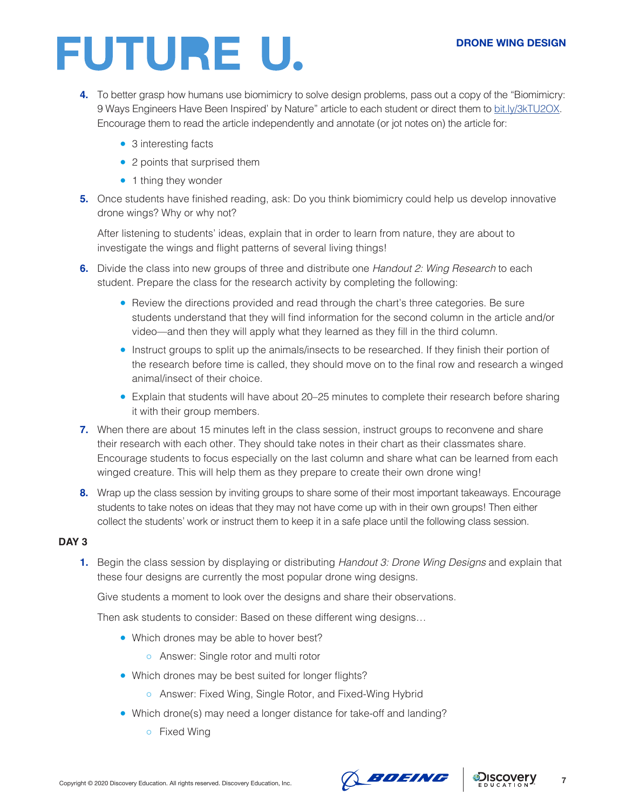### **DRONE WING DESIGN**

# FUTURE U.

- **4.** To better grasp how humans use biomimicry to solve design problems, pass out a copy of the "Biomimicry: 9 Ways Engineers Have Been Inspired' by Nature" article to each student or direct them to [bit.ly/3kTU2OX](http://bit.ly/3kTU2OX). Encourage them to read the article independently and annotate (or jot notes on) the article for:
	- 3 interesting facts
	- 2 points that surprised them
	- 1 thing they wonder
- **5.** Once students have finished reading, ask: Do you think biomimicry could help us develop innovative drone wings? Why or why not?

After listening to students' ideas, explain that in order to learn from nature, they are about to investigate the wings and flight patterns of several living things!

- **6.** Divide the class into new groups of three and distribute one *Handout 2: Wing Research* to each student. Prepare the class for the research activity by completing the following:
	- Review the directions provided and read through the chart's three categories. Be sure students understand that they will find information for the second column in the article and/or video—and then they will apply what they learned as they fill in the third column.
	- Instruct groups to split up the animals/insects to be researched. If they finish their portion of the research before time is called, they should move on to the final row and research a winged animal/insect of their choice.
	- Explain that students will have about 20–25 minutes to complete their research before sharing it with their group members.
- **7.** When there are about 15 minutes left in the class session, instruct groups to reconvene and share their research with each other. They should take notes in their chart as their classmates share. Encourage students to focus especially on the last column and share what can be learned from each winged creature. This will help them as they prepare to create their own drone wing!
- **8.** Wrap up the class session by inviting groups to share some of their most important takeaways. Encourage students to take notes on ideas that they may not have come up with in their own groups! Then either collect the students' work or instruct them to keep it in a safe place until the following class session.

### **DAY 3**

**1.** Begin the class session by displaying or distributing *Handout 3: Drone Wing Designs* and explain that these four designs are currently the most popular drone wing designs.

Give students a moment to look over the designs and share their observations.

Then ask students to consider: Based on these different wing designs…

- Which drones may be able to hover best?
	- Answer: Single rotor and multi rotor
- Which drones may be best suited for longer flights?
	- Answer: Fixed Wing, Single Rotor, and Fixed-Wing Hybrid
- Which drone(s) may need a longer distance for take-off and landing?
	- Fixed Wing



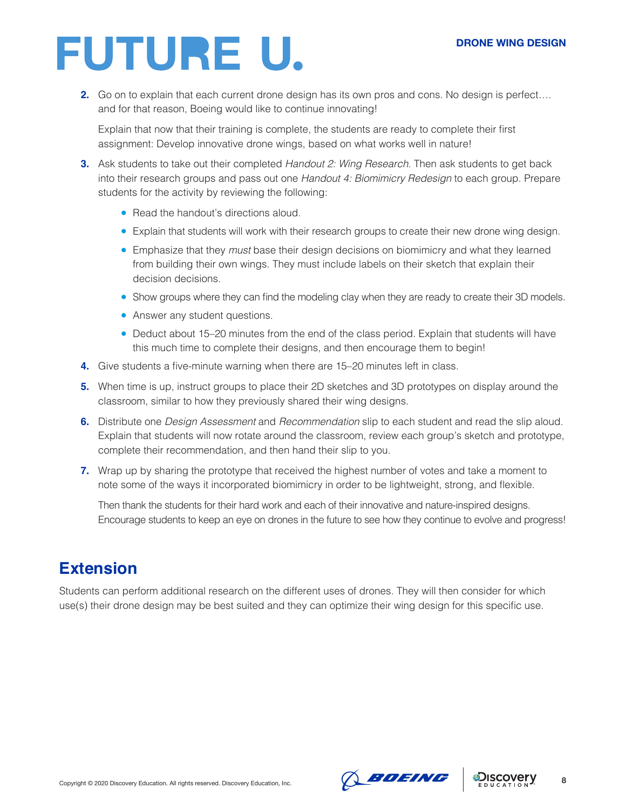**2.** Go on to explain that each current drone design has its own pros and cons. No design is perfect…. and for that reason, Boeing would like to continue innovating!

Explain that now that their training is complete, the students are ready to complete their first assignment: Develop innovative drone wings, based on what works well in nature!

- **3.** Ask students to take out their completed *Handout 2: Wing Research*. Then ask students to get back into their research groups and pass out one *Handout 4: Biomimicry Redesign* to each group. Prepare students for the activity by reviewing the following:
	- Read the handout's directions aloud.
	- Explain that students will work with their research groups to create their new drone wing design.
	- Emphasize that they *must* base their design decisions on biomimicry and what they learned from building their own wings. They must include labels on their sketch that explain their decision decisions.
	- Show groups where they can find the modeling clay when they are ready to create their 3D models.
	- Answer any student questions.
	- Deduct about 15–20 minutes from the end of the class period. Explain that students will have this much time to complete their designs, and then encourage them to begin!
- **4.** Give students a five-minute warning when there are 15–20 minutes left in class.
- **5.** When time is up, instruct groups to place their 2D sketches and 3D prototypes on display around the classroom, similar to how they previously shared their wing designs.
- **6.** Distribute one *Design Assessment* and *Recommendation* slip to each student and read the slip aloud. Explain that students will now rotate around the classroom, review each group's sketch and prototype, complete their recommendation, and then hand their slip to you.
- **7.** Wrap up by sharing the prototype that received the highest number of votes and take a moment to note some of the ways it incorporated biomimicry in order to be lightweight, strong, and flexible.

Then thank the students for their hard work and each of their innovative and nature-inspired designs. Encourage students to keep an eye on drones in the future to see how they continue to evolve and progress!

# **Extension**

Students can perform additional research on the different uses of drones. They will then consider for which use(s) their drone design may be best suited and they can optimize their wing design for this specific use.



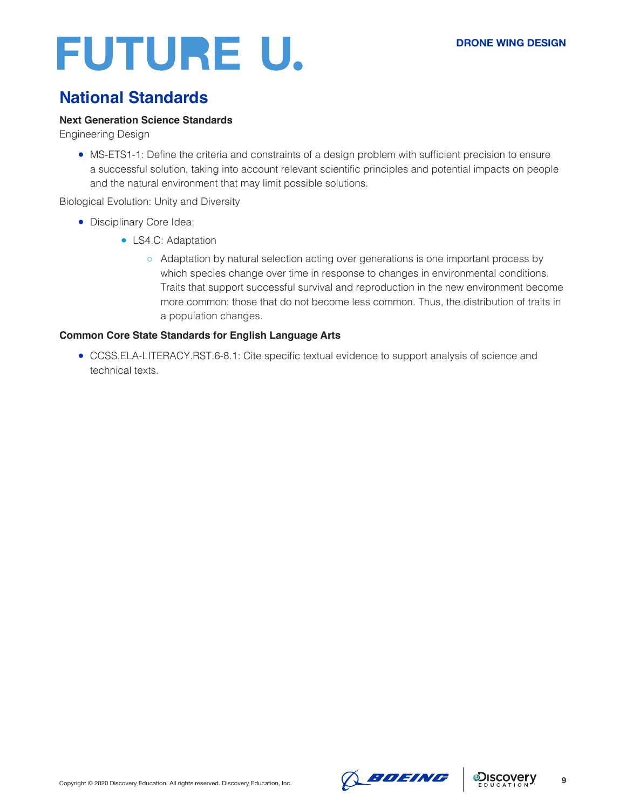# **National Standards**

### **Next Generation Science Standards**

Engineering Design

● MS-ETS1-1: Define the criteria and constraints of a design problem with sufficient precision to ensure a successful solution, taking into account relevant scientific principles and potential impacts on people and the natural environment that may limit possible solutions.

### Biological Evolution: Unity and Diversity

- Disciplinary Core Idea:
	- LS4.C: Adaptation
		- Adaptation by natural selection acting over generations is one important process by which species change over time in response to changes in environmental conditions. Traits that support successful survival and reproduction in the new environment become more common; those that do not become less common. Thus, the distribution of traits in a population changes.

### **Common Core State Standards for English Language Arts**

● CCSS.ELA-LITERACY.RST.6-8.1: Cite specific textual evidence to support analysis of science and technical texts.



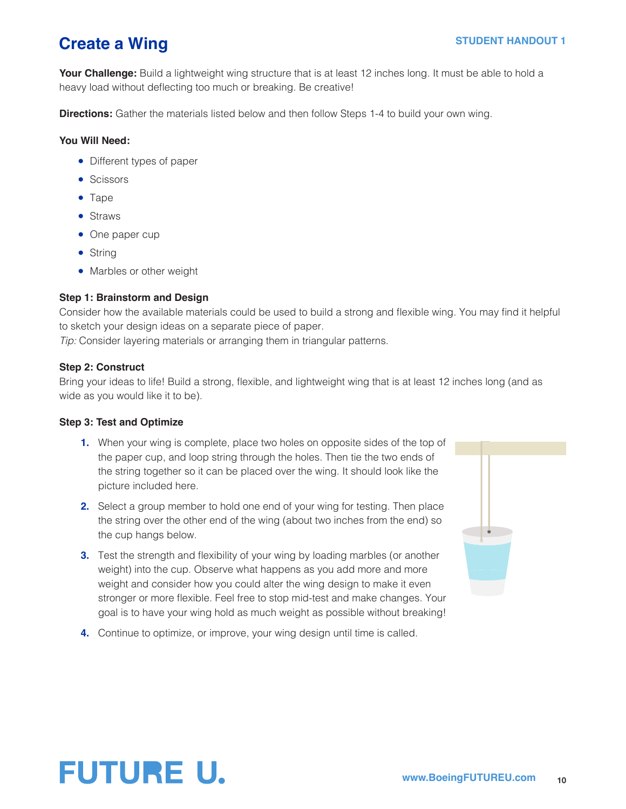# **Create a Wing STUDENT HANDOUT 1**

**Your Challenge:** Build a lightweight wing structure that is at least 12 inches long. It must be able to hold a heavy load without deflecting too much or breaking. Be creative!

**Directions:** Gather the materials listed below and then follow Steps 1-4 to build your own wing.

### **You Will Need:**

- Different types of paper
- Scissors
- Tape
- Straws
- One paper cup
- String
- Marbles or other weight

### **Step 1: Brainstorm and Design**

Consider how the available materials could be used to build a strong and flexible wing. You may find it helpful to sketch your design ideas on a separate piece of paper.

*Tip:* Consider layering materials or arranging them in triangular patterns.

### **Step 2: Construct**

Bring your ideas to life! Build a strong, flexible, and lightweight wing that is at least 12 inches long (and as wide as you would like it to be).

### **Step 3: Test and Optimize**

- **1.** When your wing is complete, place two holes on opposite sides of the top of the paper cup, and loop string through the holes. Then tie the two ends of the string together so it can be placed over the wing. It should look like the picture included here.
- **2.** Select a group member to hold one end of your wing for testing. Then place the string over the other end of the wing (about two inches from the end) so the cup hangs below.
- **3.** Test the strength and flexibility of your wing by loading marbles (or another weight) into the cup. Observe what happens as you add more and more weight and consider how you could alter the wing design to make it even stronger or more flexible. Feel free to stop mid-test and make changes. Your goal is to have your wing hold as much weight as possible without breaking!
- **4.** Continue to optimize, or improve, your wing design until time is called.



# **FUTURE U.**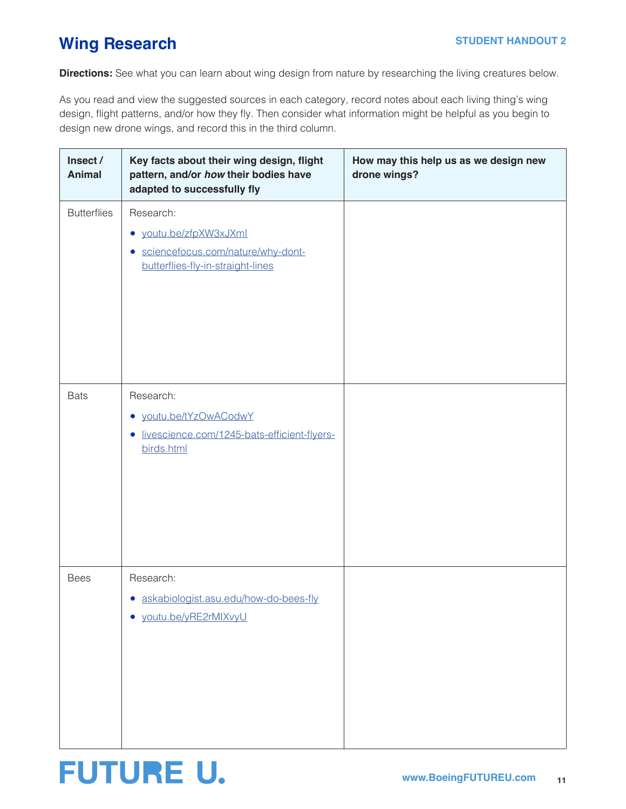**www.BoeingFUTUREU.com 11**

### **Wing Research**

**FUTURE U.** 

**Directions:** See what you can learn about wing design from nature by researching the living creatures below.

As you read and view the suggested sources in each category, record notes about each living thing's wing design, flight patterns, and/or how they fly. Then consider what information might be helpful as you begin to design new drone wings, and record this in the third column.

| Insect /<br><b>Animal</b> | Key facts about their wing design, flight<br>pattern, and/or how their bodies have<br>adapted to successfully fly | How may this help us as we design new<br>drone wings? |
|---------------------------|-------------------------------------------------------------------------------------------------------------------|-------------------------------------------------------|
| <b>Butterflies</b>        | Research:<br>• youtu.be/zfpXW3xJXml<br>· sciencefocus.com/nature/why-dont-<br>butterflies-fly-in-straight-lines   |                                                       |
| <b>Bats</b>               | Research:<br>· youtu.be/tYzOwACodwY<br>livescience.com/1245-bats-efficient-flyers-<br>$\bullet$<br>birds.html     |                                                       |
| <b>Bees</b>               | Research:<br>· askabiologist.asu.edu/how-do-bees-fly<br>· youtu.be/yRE2rMIXvyU                                    |                                                       |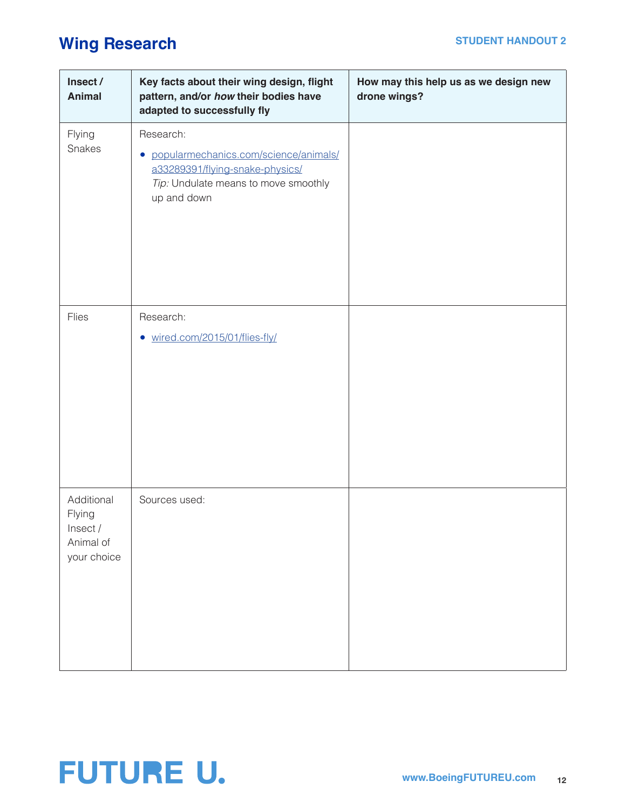# **Wing Research STUDENT HANDOUT 2**

| Insect /<br><b>Animal</b>                                    | Key facts about their wing design, flight<br>pattern, and/or how their bodies have<br>adapted to successfully fly                              | How may this help us as we design new<br>drone wings? |
|--------------------------------------------------------------|------------------------------------------------------------------------------------------------------------------------------------------------|-------------------------------------------------------|
| Flying<br>Snakes                                             | Research:<br>· popularmechanics.com/science/animals/<br>a33289391/flying-snake-physics/<br>Tip: Undulate means to move smoothly<br>up and down |                                                       |
| Flies                                                        | Research:<br>• wired.com/2015/01/flies-fly/                                                                                                    |                                                       |
| Additional<br>Flying<br>Insect /<br>Animal of<br>your choice | Sources used:                                                                                                                                  |                                                       |

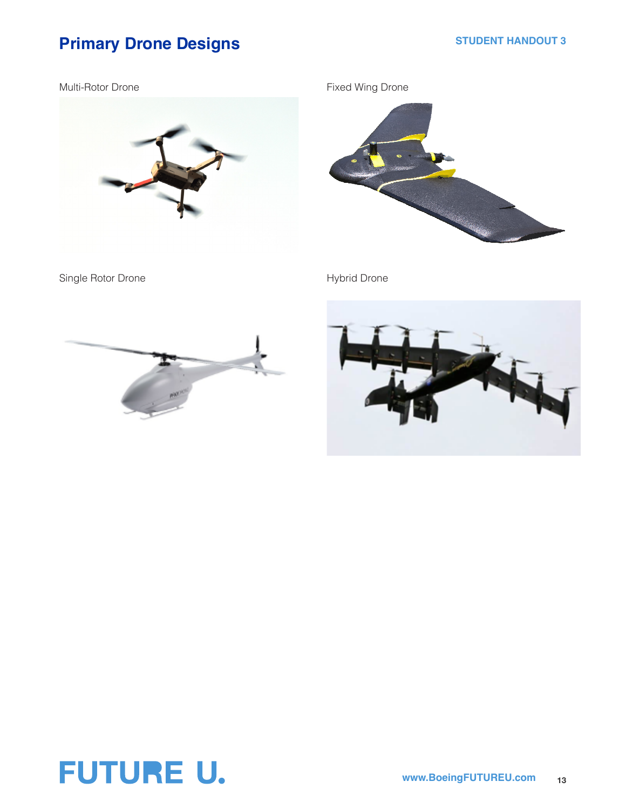# **Primary Drone Designs STUDENT HANDOUT 3**

Multi-Rotor Drone



Fixed Wing Drone



Single Rotor Drone **Hybrid Drone** Hybrid Drone





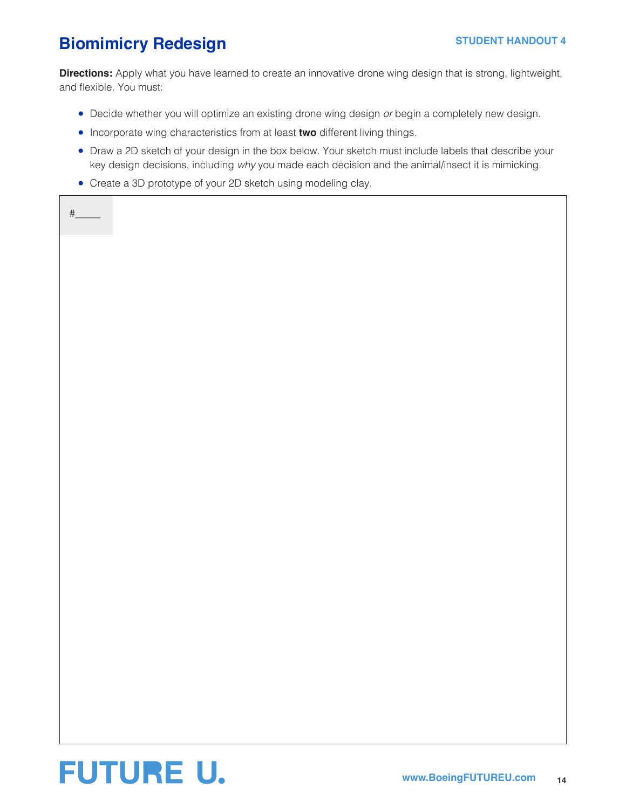# **Biomimicry Redesign Manual Strup STUDENT HANDOUT 4**

 $#_$ 

**Directions:** Apply what you have learned to create an innovative drone wing design that is strong, lightweight, and flexible. You must:

- Decide whether you will optimize an existing drone wing design *or* begin a completely new design.
- Incorporate wing characteristics from at least **two** different living things.
- Draw a 2D sketch of your design in the box below. Your sketch must include labels that describe your key design decisions, including *why* you made each decision and the animal/insect it is mimicking.
- Create a 3D prototype of your 2D sketch using modeling clay.

**FUTURE U.**